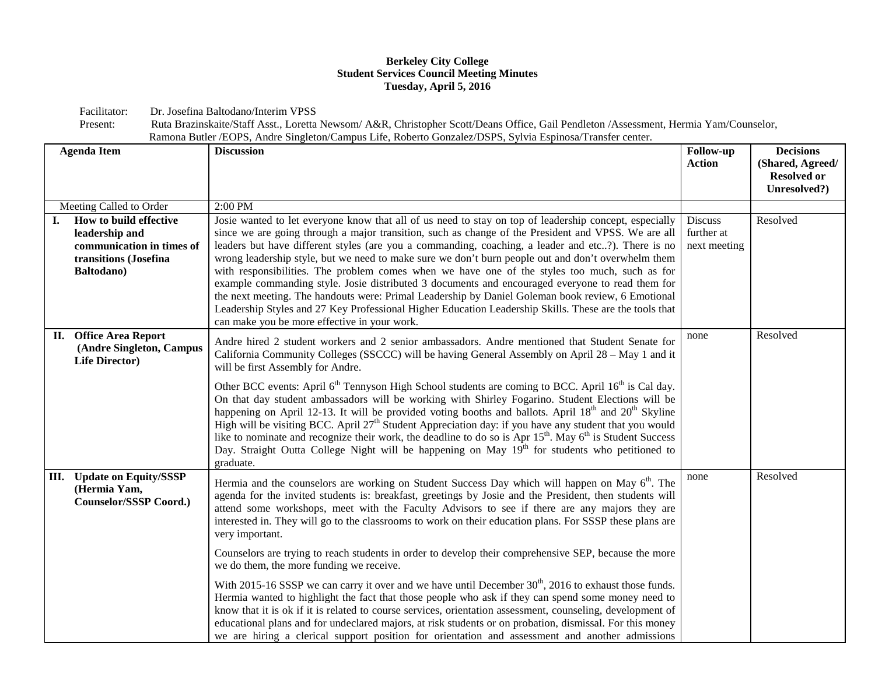## **Berkeley City College Student Services Council Meeting Minutes Tuesday, April 5, 2016**

Facilitator: Dr. Josefina Baltodano/Interim VPSS<br>Present: Ruta Brazinskaite/Staff Asst., Loretta

| Present: | Ruta Brazinskaite/Staff Asst., Loretta Newsom/ A&R, Christopher Scott/Deans Office, Gail Pendleton /Assessment, Hermia Yam/Counselor, |
|----------|---------------------------------------------------------------------------------------------------------------------------------------|
|          | Ramona Butler / EOPS, Andre Singleton/Campus Life, Roberto Gonzalez/DSPS, Sylvia Espinosa/Transfer center.                            |

| <b>Agenda Item</b> |                                                                                                              | <b>Discussion</b>                                                                                                                                                                                                                                                                                                                                                                                                                                                                                                                                                                                                                                                                                                                                                                                                                                                                             | <b>Follow-up</b><br><b>Action</b>            | <b>Decisions</b><br>(Shared, Agreed/<br><b>Resolved or</b> |
|--------------------|--------------------------------------------------------------------------------------------------------------|-----------------------------------------------------------------------------------------------------------------------------------------------------------------------------------------------------------------------------------------------------------------------------------------------------------------------------------------------------------------------------------------------------------------------------------------------------------------------------------------------------------------------------------------------------------------------------------------------------------------------------------------------------------------------------------------------------------------------------------------------------------------------------------------------------------------------------------------------------------------------------------------------|----------------------------------------------|------------------------------------------------------------|
|                    |                                                                                                              |                                                                                                                                                                                                                                                                                                                                                                                                                                                                                                                                                                                                                                                                                                                                                                                                                                                                                               |                                              | Unresolved?)                                               |
|                    | Meeting Called to Order                                                                                      | 2:00 PM                                                                                                                                                                                                                                                                                                                                                                                                                                                                                                                                                                                                                                                                                                                                                                                                                                                                                       |                                              |                                                            |
| L.                 | How to build effective<br>leadership and<br>communication in times of<br>transitions (Josefina<br>Baltodano) | Josie wanted to let everyone know that all of us need to stay on top of leadership concept, especially<br>since we are going through a major transition, such as change of the President and VPSS. We are all<br>leaders but have different styles (are you a commanding, coaching, a leader and etc?). There is no<br>wrong leadership style, but we need to make sure we don't burn people out and don't overwhelm them<br>with responsibilities. The problem comes when we have one of the styles too much, such as for<br>example commanding style. Josie distributed 3 documents and encouraged everyone to read them for<br>the next meeting. The handouts were: Primal Leadership by Daniel Goleman book review, 6 Emotional<br>Leadership Styles and 27 Key Professional Higher Education Leadership Skills. These are the tools that<br>can make you be more effective in your work. | <b>Discuss</b><br>further at<br>next meeting | Resolved                                                   |
|                    | <b>II.</b> Office Area Report<br>(Andre Singleton, Campus<br><b>Life Director)</b>                           | Andre hired 2 student workers and 2 senior ambassadors. Andre mentioned that Student Senate for<br>California Community Colleges (SSCCC) will be having General Assembly on April 28 - May 1 and it<br>will be first Assembly for Andre.                                                                                                                                                                                                                                                                                                                                                                                                                                                                                                                                                                                                                                                      | none                                         | Resolved                                                   |
|                    |                                                                                                              | Other BCC events: April 6 <sup>th</sup> Tennyson High School students are coming to BCC. April 16 <sup>th</sup> is Cal day.<br>On that day student ambassadors will be working with Shirley Fogarino. Student Elections will be<br>happening on April 12-13. It will be provided voting booths and ballots. April 18 <sup>th</sup> and 20 <sup>th</sup> Skyline<br>High will be visiting BCC. April $27th$ Student Appreciation day: if you have any student that you would<br>like to nominate and recognize their work, the deadline to do so is Apr $15^{th}$ . May $6^{th}$ is Student Success<br>Day. Straight Outta College Night will be happening on May 19 <sup>th</sup> for students who petitioned to<br>graduate.                                                                                                                                                                 |                                              |                                                            |
|                    | III. Update on Equity/SSSP<br>(Hermia Yam,<br>Counselor/SSSP Coord.)                                         | Hermia and the counselors are working on Student Success Day which will happen on May 6 <sup>th</sup> . The<br>agenda for the invited students is: breakfast, greetings by Josie and the President, then students will<br>attend some workshops, meet with the Faculty Advisors to see if there are any majors they are<br>interested in. They will go to the classrooms to work on their education plans. For SSSP these plans are<br>very important.                                                                                                                                                                                                                                                                                                                                                                                                                                        | none                                         | Resolved                                                   |
|                    |                                                                                                              | Counselors are trying to reach students in order to develop their comprehensive SEP, because the more<br>we do them, the more funding we receive.                                                                                                                                                                                                                                                                                                                                                                                                                                                                                                                                                                                                                                                                                                                                             |                                              |                                                            |
|                    |                                                                                                              | With 2015-16 SSSP we can carry it over and we have until December $30th$ , 2016 to exhaust those funds.<br>Hermia wanted to highlight the fact that those people who ask if they can spend some money need to<br>know that it is ok if it is related to course services, orientation assessment, counseling, development of<br>educational plans and for undeclared majors, at risk students or on probation, dismissal. For this money<br>we are hiring a clerical support position for orientation and assessment and another admissions                                                                                                                                                                                                                                                                                                                                                    |                                              |                                                            |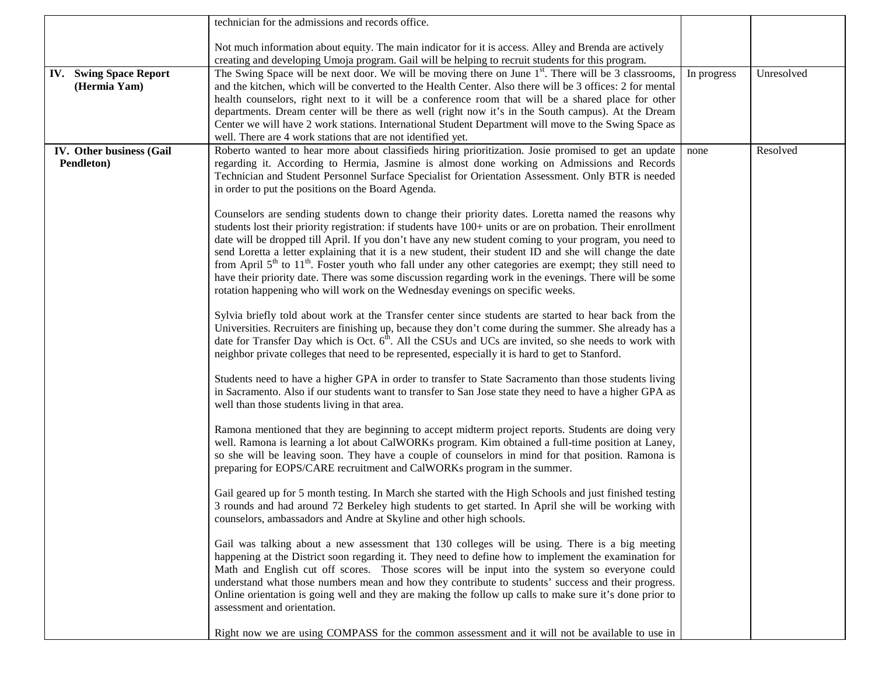|                                               | technician for the admissions and records office.                                                                                                                                                                                                                                                                                                                                                                                                                                                                                                                                                                                                                                                                                                                                                                                                                                                                                                                                                                                                                                                                                                                                                                                                                                                                                                                                                                                                                                                                                                                                                                                                                                                                                                                                                                                                                                                                                                                                                                            |             |            |
|-----------------------------------------------|------------------------------------------------------------------------------------------------------------------------------------------------------------------------------------------------------------------------------------------------------------------------------------------------------------------------------------------------------------------------------------------------------------------------------------------------------------------------------------------------------------------------------------------------------------------------------------------------------------------------------------------------------------------------------------------------------------------------------------------------------------------------------------------------------------------------------------------------------------------------------------------------------------------------------------------------------------------------------------------------------------------------------------------------------------------------------------------------------------------------------------------------------------------------------------------------------------------------------------------------------------------------------------------------------------------------------------------------------------------------------------------------------------------------------------------------------------------------------------------------------------------------------------------------------------------------------------------------------------------------------------------------------------------------------------------------------------------------------------------------------------------------------------------------------------------------------------------------------------------------------------------------------------------------------------------------------------------------------------------------------------------------------|-------------|------------|
|                                               | Not much information about equity. The main indicator for it is access. Alley and Brenda are actively<br>creating and developing Umoja program. Gail will be helping to recruit students for this program.                                                                                                                                                                                                                                                                                                                                                                                                                                                                                                                                                                                                                                                                                                                                                                                                                                                                                                                                                                                                                                                                                                                                                                                                                                                                                                                                                                                                                                                                                                                                                                                                                                                                                                                                                                                                                   |             |            |
| <b>IV.</b> Swing Space Report<br>(Hermia Yam) | The Swing Space will be next door. We will be moving there on June 1 <sup>st</sup> . There will be 3 classrooms,<br>and the kitchen, which will be converted to the Health Center. Also there will be 3 offices: 2 for mental<br>health counselors, right next to it will be a conference room that will be a shared place for other<br>departments. Dream center will be there as well (right now it's in the South campus). At the Dream<br>Center we will have 2 work stations. International Student Department will move to the Swing Space as                                                                                                                                                                                                                                                                                                                                                                                                                                                                                                                                                                                                                                                                                                                                                                                                                                                                                                                                                                                                                                                                                                                                                                                                                                                                                                                                                                                                                                                                          | In progress | Unresolved |
| IV. Other business (Gail<br>Pendleton)        | well. There are 4 work stations that are not identified yet.<br>Roberto wanted to hear more about classifieds hiring prioritization. Josie promised to get an update<br>regarding it. According to Hermia, Jasmine is almost done working on Admissions and Records<br>Technician and Student Personnel Surface Specialist for Orientation Assessment. Only BTR is needed<br>in order to put the positions on the Board Agenda.<br>Counselors are sending students down to change their priority dates. Loretta named the reasons why<br>students lost their priority registration: if students have 100+ units or are on probation. Their enrollment<br>date will be dropped till April. If you don't have any new student coming to your program, you need to<br>send Loretta a letter explaining that it is a new student, their student ID and she will change the date<br>from April 5 <sup>th</sup> to 11 <sup>th</sup> . Foster youth who fall under any other categories are exempt; they still need to<br>have their priority date. There was some discussion regarding work in the evenings. There will be some<br>rotation happening who will work on the Wednesday evenings on specific weeks.<br>Sylvia briefly told about work at the Transfer center since students are started to hear back from the<br>Universities. Recruiters are finishing up, because they don't come during the summer. She already has a<br>date for Transfer Day which is Oct. $6th$ . All the CSUs and UCs are invited, so she needs to work with<br>neighbor private colleges that need to be represented, especially it is hard to get to Stanford.<br>Students need to have a higher GPA in order to transfer to State Sacramento than those students living<br>in Sacramento. Also if our students want to transfer to San Jose state they need to have a higher GPA as<br>well than those students living in that area.<br>Ramona mentioned that they are beginning to accept midterm project reports. Students are doing very | none        | Resolved   |
|                                               | well. Ramona is learning a lot about CalWORKs program. Kim obtained a full-time position at Laney,<br>so she will be leaving soon. They have a couple of counselors in mind for that position. Ramona is<br>preparing for EOPS/CARE recruitment and CalWORKs program in the summer.<br>Gail geared up for 5 month testing. In March she started with the High Schools and just finished testing<br>3 rounds and had around 72 Berkeley high students to get started. In April she will be working with<br>counselors, ambassadors and Andre at Skyline and other high schools.<br>Gail was talking about a new assessment that 130 colleges will be using. There is a big meeting<br>happening at the District soon regarding it. They need to define how to implement the examination for<br>Math and English cut off scores. Those scores will be input into the system so everyone could<br>understand what those numbers mean and how they contribute to students' success and their progress.<br>Online orientation is going well and they are making the follow up calls to make sure it's done prior to<br>assessment and orientation.<br>Right now we are using COMPASS for the common assessment and it will not be available to use in                                                                                                                                                                                                                                                                                                                                                                                                                                                                                                                                                                                                                                                                                                                                                                             |             |            |